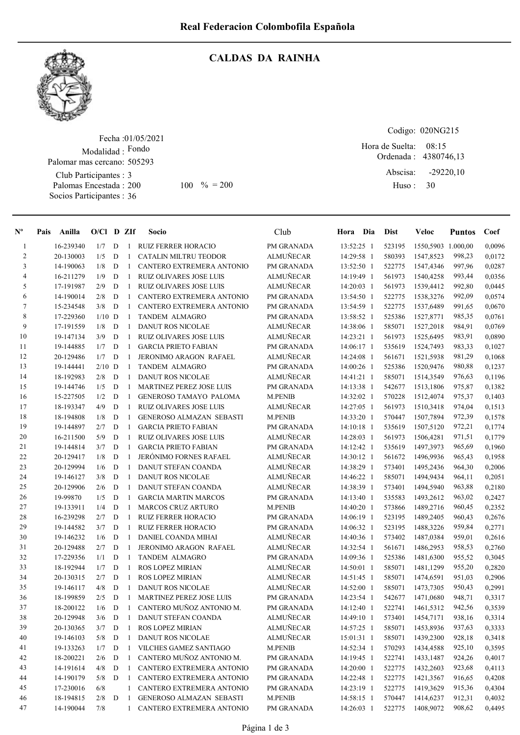

## CALDAS DA RAINHA

Fecha : 01/05/2021 Modalidad : Fondo Club Participantes : 3 Palomas Encestada : Socios Participantes : 36 Palomar mas cercano: 505293

Codigo: 020NG215

Ordenada : 4380746,13 Abscisa: Huso : Hora de Suelta: 08:15 -29220,10 200 100 % = 200 Huso: 30

| $N^{\circ}$ | Pais Anilla |           | $O/Cl$ D ZIf |   |              | Socio                           | Club             | Hora Dia   | <b>Dist</b> | Veloc              | <b>Puntos</b> | Coef   |
|-------------|-------------|-----------|--------------|---|--------------|---------------------------------|------------------|------------|-------------|--------------------|---------------|--------|
| 1           |             | 16-239340 | 1/7          | D | 1            | <b>RUIZ FERRER HORACIO</b>      | PM GRANADA       | 13:52:25 1 | 523195      | 1550,5903 1.000,00 |               | 0,0096 |
| 2           |             | 20-130003 | 1/5          | D | -1           | CATALIN MILTRU TEODOR           | <b>ALMUÑECAR</b> | 14:29:58 1 | 580393      | 1547,8523          | 998,23        | 0,0172 |
| 3           |             | 14-190063 | 1/8          | D | -1           | CANTERO EXTREMERA ANTONIO       | PM GRANADA       | 13:52:50 1 | 522775      | 1547,4346          | 997,96        | 0,0287 |
| 4           |             | 16-211279 | 1/9          | D | -1           | <b>RUIZ OLIVARES JOSE LUIS</b>  | <b>ALMUÑECAR</b> | 14:19:49 1 | 561973      | 1540,4258          | 993,44        | 0,0356 |
| 5           |             | 17-191987 | 2/9          | D | -1           | <b>RUIZ OLIVARES JOSE LUIS</b>  | <b>ALMUÑECAR</b> | 14:20:03 1 | 561973      | 1539,4412          | 992,80        | 0,0445 |
| 6           |             | 14-190014 | 2/8          | D | -1           | CANTERO EXTREMERA ANTONIO       | PM GRANADA       | 13:54:50 1 | 522775      | 1538,3276          | 992,09        | 0,0574 |
| 7           |             | 15-234548 | 3/8          | D | -1           | CANTERO EXTREMERA ANTONIO       | PM GRANADA       | 13:54:59 1 | 522775      | 1537,6489          | 991,65        | 0,0670 |
| 8           |             | 17-229360 | $1/10$ D     |   | -1           | <b>TANDEM ALMAGRO</b>           | PM GRANADA       | 13:58:52 1 | 525386      | 1527,8771          | 985,35        | 0,0761 |
| 9           |             | 17-191559 | 1/8          | D | -1           | <b>DANUT ROS NICOLAE</b>        | <b>ALMUÑECAR</b> | 14:38:06 1 | 585071      | 1527,2018          | 984,91        | 0,0769 |
| 10          |             | 19-147134 | 3/9          | D | -1           | <b>RUIZ OLIVARES JOSE LUIS</b>  | <b>ALMUÑECAR</b> | 14:23:21 1 | 561973      | 1525,6495          | 983,91        | 0,0890 |
| 11          |             | 19-144885 | 1/7          | D | -1           | <b>GARCIA PRIETO FABIAN</b>     | PM GRANADA       | 14:06:17 1 | 535619      | 1524,7493          | 983,33        | 0,1027 |
| 12          |             | 20-129486 | 1/7          | D | -1           | JERONIMO ARAGON RAFAEL          | <b>ALMUÑECAR</b> | 14:24:08 1 | 561671      | 1521,5938          | 981,29        | 0,1068 |
| 13          |             | 19-144441 | $2/10$ D     |   | -1           | <b>TANDEM ALMAGRO</b>           | PM GRANADA       | 14:00:26 1 | 525386      | 1520,9476          | 980,88        | 0,1237 |
| 14          |             | 18-192983 | 2/8          | D | -1           | <b>DANUT ROS NICOLAE</b>        | <b>ALMUÑECAR</b> | 14:41:21 1 | 585071      | 1514,3549          | 976,63        | 0,1196 |
| 15          |             | 19-144746 | 1/5          | D | -1           | <b>MARTINEZ PEREZ JOSE LUIS</b> | PM GRANADA       | 14:13:38 1 | 542677      | 1513,1806          | 975,87        | 0,1382 |
| 16          |             | 15-227505 | 1/2          | D | -1           | <b>GENEROSO TAMAYO PALOMA</b>   | <b>M.PENIB</b>   | 14:32:02 1 | 570228      | 1512,4074          | 975,37        | 0,1403 |
| 17          |             | 18-193347 | 4/9          | D | -1           | <b>RUIZ OLIVARES JOSE LUIS</b>  | <b>ALMUÑECAR</b> | 14:27:05 1 | 561973      | 1510,3418          | 974,04        | 0,1513 |
| $18\,$      |             | 18-194808 | 1/8          | D | -1           | <b>GENEROSO ALMAZAN SEBASTI</b> | <b>M.PENIB</b>   | 14:33:20 1 | 570447      | 1507,7894          | 972,39        | 0,1578 |
| 19          |             | 19-144897 | 2/7          | D | -1           | <b>GARCIA PRIETO FABIAN</b>     | PM GRANADA       | 14:10:18 1 | 535619      | 1507,5120          | 972,21        | 0,1774 |
| 20          |             | 16-211500 | 5/9          | D | $\mathbf{1}$ | <b>RUIZ OLIVARES JOSE LUIS</b>  | <b>ALMUÑECAR</b> | 14:28:03 1 | 561973      | 1506,4281          | 971,51        | 0,1779 |
| 21          |             | 19-144814 | 3/7          | D | -1           | <b>GARCIA PRIETO FABIAN</b>     | PM GRANADA       | 14:12:42 1 | 535619      | 1497,3973          | 965,69        | 0,1960 |
| $22\,$      |             | 20-129417 | 1/8          | D | -1           | <b>JERÓNIMO FORNES RAFAEL</b>   | <b>ALMUÑECAR</b> | 14:30:12 1 | 561672      | 1496,9936          | 965,43        | 0,1958 |
| 23          |             | 20-129994 | 1/6          | D | -1           | <b>DANUT STEFAN COANDA</b>      | <b>ALMUÑECAR</b> | 14:38:29 1 | 573401      | 1495,2436          | 964,30        | 0,2006 |
| 24          |             | 19-146127 | 3/8          | D | -1           | <b>DANUT ROS NICOLAE</b>        | <b>ALMUÑECAR</b> | 14:46:22 1 | 585071      | 1494,9434          | 964,11        | 0,2051 |
| 25          |             | 20-129906 | 2/6          | D | -1           | DANUT STEFAN COANDA             | <b>ALMUÑECAR</b> | 14:38:39 1 | 573401      | 1494,5940          | 963,88        | 0,2180 |
| 26          |             | 19-99870  | 1/5          | D | -1           | <b>GARCIA MARTIN MARCOS</b>     | PM GRANADA       | 14:13:40 1 | 535583      | 1493,2612          | 963,02        | 0,2427 |
| 27          |             | 19-133911 | 1/4          | D | -1           | <b>MARCOS CRUZ ARTURO</b>       | <b>M.PENIB</b>   | 14:40:20 1 | 573866      | 1489,2716          | 960,45        | 0,2352 |
| 28          |             | 16-239298 | 2/7          | D | -1           | <b>RUIZ FERRER HORACIO</b>      | PM GRANADA       | 14:06:19 1 | 523195      | 1489,2405          | 960,43        | 0,2676 |
| 29          |             | 19-144582 | 3/7          | D | -1           | <b>RUIZ FERRER HORACIO</b>      | PM GRANADA       | 14:06:32 1 | 523195      | 1488,3226          | 959,84        | 0,2771 |
| 30          |             | 19-146232 | 1/6          | D | -1           | DANIEL COANDA MIHAI             | <b>ALMUÑECAR</b> | 14:40:36 1 | 573402      | 1487,0384          | 959,01        | 0,2616 |
| 31          |             | 20-129488 | 2/7          | D | -1           | JERONIMO ARAGON RAFAEL          | <b>ALMUÑECAR</b> | 14:32:54 1 | 561671      | 1486,2953          | 958,53        | 0,2760 |
| 32          |             | 17-229356 | 1/1          | D | -1           | <b>TANDEM ALMAGRO</b>           | PM GRANADA       | 14:09:36 1 | 525386      | 1481,6300          | 955,52        | 0,3045 |
| 33          |             | 18-192944 | 1/7          | D | -1           | <b>ROS LOPEZ MIRIAN</b>         | <b>ALMUÑECAR</b> | 14:50:01 1 | 585071      | 1481,1299          | 955,20        | 0,2820 |
| 34          |             | 20-130315 | 2/7          | D | -1           | ROS LOPEZ MIRIAN                | <b>ALMUÑECAR</b> | 14:51:45 1 | 585071      | 1474,6591          | 951,03        | 0,2906 |
| 35          |             | 19-146117 | 4/8          | D | -1           | <b>DANUT ROS NICOLAE</b>        | <b>ALMUÑECAR</b> | 14:52:00 1 | 585071      | 1473,7305          | 950,43        | 0,2991 |
| 36          |             | 18-199859 | 2/5          | D | -1           | <b>MARTINEZ PEREZ JOSE LUIS</b> | PM GRANADA       | 14:23:54 1 | 542677      | 1471,0680          | 948,71        | 0,3317 |
| 37          |             | 18-200122 | 1/6          | D | -1           | CANTERO MUÑOZ ANTONIO M.        | PM GRANADA       | 14:12:40 1 | 522741      | 1461,5312          | 942,56        | 0,3539 |
| 38          |             | 20-129948 | 3/6          | D | $\vert$      | DANUT STEFAN COANDA             | <b>ALMUÑECAR</b> | 14:49:10 1 | 573401      | 1454,7171          | 938,16        | 0,3314 |
| 39          |             | 20-130365 | 3/7          | D | -1           | ROS LOPEZ MIRIAN                | <b>ALMUÑECAR</b> | 14:57:25 1 | 585071      | 1453,8936          | 937,63        | 0,3333 |
| 40          |             | 19-146103 | 5/8          | D | -1           | DANUT ROS NICOLAE               | <b>ALMUÑECAR</b> | 15:01:31 1 | 585071      | 1439,2300          | 928,18        | 0,3418 |
| 41          |             | 19-133263 | 1/7          | D | $\mathbf{1}$ | VILCHES GAMEZ SANTIAGO          | M.PENIB          | 14:52:34 1 | 570293      | 1434,4588          | 925,10        | 0,3595 |
| 42          |             | 18-200221 | 2/6          | D | $\mathbf{1}$ | CANTERO MUÑOZ ANTONIO M.        | PM GRANADA       | 14:19:45 1 | 522741      | 1433,1487          | 924,26        | 0,4017 |
| 43          |             | 14-191614 | 4/8          | D | $\mathbf{1}$ | CANTERO EXTREMERA ANTONIO       | PM GRANADA       | 14:20:00 1 | 522775      | 1432,2603          | 923,68        | 0,4113 |
| 44          |             | 14-190179 | 5/8          | D | $\mathbf{1}$ | CANTERO EXTREMERA ANTONIO       | PM GRANADA       | 14:22:48 1 | 522775      | 1421,3567          | 916,65        | 0,4208 |
| 45          |             | 17-230016 | 6/8          |   | $\mathbf{1}$ | CANTERO EXTREMERA ANTONIO       | PM GRANADA       | 14:23:19 1 | 522775      | 1419,3629          | 915,36        | 0,4304 |
| 46          |             | 18-194815 | 2/8          | D | -1           | <b>GENEROSO ALMAZAN SEBASTI</b> | M.PENIB          | 14:58:15 1 | 570447      | 1414,6237          | 912,31        | 0,4032 |
| 47          |             | 14-190044 | 7/8          |   | 1            | CANTERO EXTREMERA ANTONIO       | PM GRANADA       | 14:26:03 1 | 522775      | 1408,9072          | 908,62        | 0,4495 |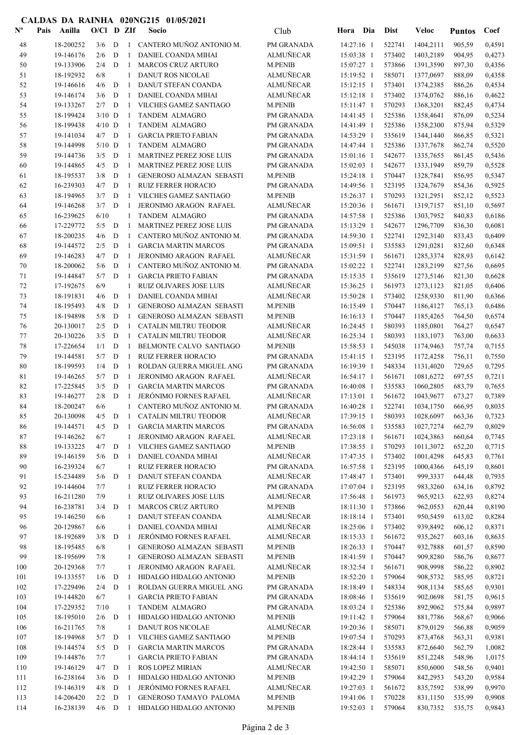## CALDAS DA RAINHA 020NG215 01/05/2021

| $N^{\text{o}}$ | Pais | Anilla                 | $O/Cl$ D ZIf    |             |                    | Socio                                                  | Club                               | Hora Dia                 | <b>Dist</b>      | Veloc                  | <b>Puntos</b>    | Coef             |
|----------------|------|------------------------|-----------------|-------------|--------------------|--------------------------------------------------------|------------------------------------|--------------------------|------------------|------------------------|------------------|------------------|
| 48             |      | 18-200252              | 3/6             | D           | $\left  \right $   | CANTERO MUÑOZ ANTONIO M.                               | PM GRANADA                         | 14:27:16 1               | 522741           | 1404,2111              | 905,59           | 0,4591           |
| 49             |      | 19-146176              | 2/6             | D           | -1                 | DANIEL COANDA MIHAI                                    | <b>ALMUÑECAR</b>                   | 15:03:38 1               | 573402           | 1403,2189              | 904,95           | 0,4273           |
| 50             |      | 19-133906              | 2/4             | D           | -1                 | <b>MARCOS CRUZ ARTURO</b>                              | <b>M.PENIB</b>                     | 15:07:27 1               | 573866           | 1391,3590              | 897,30           | 0,4356           |
| 51             |      | 18-192932              | 6/8             |             | 1                  | <b>DANUT ROS NICOLAE</b>                               | <b>ALMUÑECAR</b>                   | 15:19:52 1               | 585071           | 1377,0697              | 888,09           | 0,4358           |
| 52             |      | 19-146616              | 4/6             | D           | -1                 | DANUT STEFAN COANDA                                    | <b>ALMUÑECAR</b>                   | 15:12:15 1               | 573401           | 1374,2385              | 886,26           | 0,4534           |
| 53             |      | 19-146174              | 3/6             | D           | $\mathbf{1}$       | DANIEL COANDA MIHAI                                    | <b>ALMUNECAR</b>                   | 15:12:18 1               | 573402           | 1374,0762              | 886,16           | 0,4622           |
| 54             |      | 19-133267              | 2/7             | D           | $\mathbf{1}$       | <b>VILCHES GAMEZ SANTIAGO</b>                          | <b>M.PENIB</b>                     | 15:11:47 1               | 570293           | 1368,3201              | 882,45           | 0,4734           |
| 55             |      | 18-199424              | $3/10$ D        |             | -1                 | <b>TANDEM ALMAGRO</b>                                  | PM GRANADA                         | 14:41:45 1               | 525386           | 1358,4641              | 876,09           | 0,5234           |
| 56<br>57       |      | 18-199438<br>19-141034 | $4/10$ D<br>4/7 | D           | $\mathbf{1}$<br>-1 | TANDEM ALMAGRO<br><b>GARCIA PRIETO FABIAN</b>          | PM GRANADA<br>PM GRANADA           | 14:41:49 1<br>14:53:29 1 | 525386<br>535619 | 1358,2300<br>1344,1440 | 875,94<br>866,85 | 0,5329<br>0,5321 |
| 58             |      | 19-144998              | $5/10$ D        |             | -1                 | TANDEM ALMAGRO                                         | PM GRANADA                         | 14:47:44 1               | 525386           | 1337,7678              | 862,74           | 0,5520           |
| 59             |      | 19-144736              | 3/5             | D           | -1                 | MARTINEZ PEREZ JOSE LUIS                               | PM GRANADA                         | $15:01:16$ 1             | 542677           | 1335,7655              | 861,45           | 0,5436           |
| 60             |      | 19-144865              | 4/5             | D           | -1                 | <b>MARTINEZ PEREZ JOSE LUIS</b>                        | PM GRANADA                         | $15:02:03$ 1             | 542677           | 1333,1949              | 859,79           | 0,5528           |
| 61             |      | 18-195537              | 3/8             | D           | -1                 | <b>GENEROSO ALMAZAN SEBASTI</b>                        | <b>M.PENIB</b>                     | 15:24:18 1               | 570447           | 1328,7841              | 856,95           | 0,5347           |
| 62             |      | 16-239303              | 4/7             | D           | -1                 | <b>RUIZ FERRER HORACIO</b>                             | PM GRANADA                         | 14:49:56 1               | 523195           | 1324,7679              | 854,36           | 0,5925           |
| 63             |      | 18-194965              | 3/7             | D           | -1                 | <b>VILCHES GAMEZ SANTIAGO</b>                          | <b>M.PENIB</b>                     | 15:26:37 1               | 570293           | 1321,2951              | 852,12           | 0,5523           |
| 64             |      | 19-146268              | 3/7             | D           | -1                 | JERONIMO ARAGON RAFAEL                                 | <b>ALMUÑECAR</b>                   | 15:20:36 1               | 561671           | 1319,7157              | 851,10           | 0,5697           |
| 65             |      | 16-239625              | 6/10            |             | 1                  | TANDEM ALMAGRO                                         | PM GRANADA                         | 14:57:58 1               | 525386           | 1303,7952              | 840,83           | 0,6186           |
| 66             |      | 17-229772              | 5/5             | D           | -1                 | <b>MARTINEZ PEREZ JOSE LUIS</b>                        | PM GRANADA                         | 15:13:29 1               | 542677           | 1296,7709              | 836,30           | 0,6081           |
| 67             |      | 18-200235              | 4/6             | D           | $\mathbf{1}$       | CANTERO MUÑOZ ANTONIO M.                               | PM GRANADA                         | 14:59:30 1               | 522741           | 1292,3140              | 833,43           | 0,6409           |
| 68             |      | 19-144572              | 2/5             | D           | $\mathbf{1}$       | <b>GARCIA MARTIN MARCOS</b>                            | PM GRANADA                         | 15:09:51 1               | 535583           | 1291,0281              | 832,60           | 0,6348           |
| 69             |      | 19-146283              | 4/7             | D           | -1                 | JERONIMO ARAGON RAFAEL                                 | <b>ALMUÑECAR</b>                   | 15:31:59 1               | 561671           | 1285,3374              | 828,93           | 0,6142           |
| 70             |      | 18-200062              | 5/6             | D           | -1                 | CANTERO MUÑOZ ANTONIO M.                               | PM GRANADA                         | 15:02:22 1               | 522741           | 1283,2199              | 827,56           | 0,6695           |
| 71             |      | 19-144847              | 5/7             | D           | -1                 | <b>GARCIA PRIETO FABIAN</b>                            | PM GRANADA                         | 15:15:35 1               | 535619           | 1273,5146              | 821,30           | 0,6628           |
| 72             |      | 17-192675              | 6/9             |             | 1                  | <b>RUIZ OLIVARES JOSE LUIS</b>                         | <b>ALMUÑECAR</b>                   | 15:36:25 1               | 561973           | 1273, 1123             | 821,05           | 0,6406           |
| 73<br>74       |      | 18-191831<br>18-195493 | 4/6<br>4/8      | D<br>D      | -1<br>-1           | DANIEL COANDA MIHAI<br><b>GENEROSO ALMAZAN SEBASTI</b> | <b>ALMUÑECAR</b><br><b>M.PENIB</b> | 15:50:28 1<br>16:15:49 1 | 573402<br>570447 | 1258,9330<br>1186,4127 | 811,90           | 0,6366<br>0,6486 |
| 75             |      | 18-194898              | 5/8             | D           | -1                 | <b>GENEROSO ALMAZAN SEBASTI</b>                        | <b>M.PENIB</b>                     | $16:16:13$ 1             | 570447           | 1185,4265              | 765,13<br>764,50 | 0,6574           |
| 76             |      | 20-130017              | 2/5             | D           | -1                 | <b>CATALIN MILTRU TEODOR</b>                           | <b>ALMUÑECAR</b>                   | 16:24:45 1               | 580393           | 1185,0801              | 764,27           | 0,6547           |
| 77             |      | 20-130226              | 3/5             | D           | $\mathbf{1}$       | <b>CATALIN MILTRU TEODOR</b>                           | <b>ALMUÑECAR</b>                   | 16:25:34 1               | 580393           | 1183,1073              | 763,00           | 0,6633           |
| 78             |      | 17-226654              | 1/1             | D           | 1                  | BELMONTE CALVO SANTIAGO                                | <b>M.PENIB</b>                     | 15:58:53 1               | 545038           | 1174,9463              | 757,74           | 0,7155           |
| 79             |      | 19-144581              | 5/7             | D           | $\mathbf{1}$       | <b>RUIZ FERRER HORACIO</b>                             | PM GRANADA                         | 15:41:15 1               | 523195           | 1172,4258              | 756,11           | 0,7550           |
| 80             |      | 18-199593              | 1/4             | D           | $\mathbf{1}$       | ROLDAN GUERRA MIGUEL ANG                               | PM GRANADA                         | 16:19:39 1               | 548334           | 1131,4020              | 729,65           | 0,7295           |
| 81             |      | 19-146265              | 5/7             | D           | -1                 | JERONIMO ARAGON RAFAEL                                 | <b>ALMUÑECAR</b>                   | 16:54:17 1               | 561671           | 1081,6272              | 697,55           | 0,7211           |
| 82             |      | 17-225845              | 3/5             | D           | -1                 | <b>GARCIA MARTIN MARCOS</b>                            | PM GRANADA                         | 16:40:08 1               | 535583           | 1060,2805              | 683,79           | 0,7655           |
| 83             |      | 19-146277              | 2/8             | D           | $\mathbf{1}$       | <b>JERÓNIMO FORNES RAFAEL</b>                          | <b>ALMUÑECAR</b>                   | 17:13:01 1               | 561672           | 1043,9677              | 673,27           | 0,7389           |
| 84             |      | 18-200247              | 6/6             |             | $\mathbf{1}$       | CANTERO MUÑOZ ANTONIO M.                               | PM GRANADA                         | 16:40:28 1               | 522741           | 1034,1750              | 666,95           | 0,8035           |
| 85             |      | 20-130098              |                 |             |                    | 4/5 D 1 CATALIN MILTRU TEODOR                          | <b>ALMUÑECAR</b>                   | 17:39:15 1               |                  | 580393 1028,6097       | 663,36           | 0,7323           |
| 86             |      | 19-144571              | 4/5             | D           | -1                 | <b>GARCIA MARTIN MARCOS</b>                            | PM GRANADA                         | 16:56:08 1               | 535583           | 1027,7274              | 662,79           | 0,8029           |
| 87             |      | 19-146262              | 6/7             |             | 1                  | JERONIMO ARAGON RAFAEL                                 | <b>ALMUÑECAR</b>                   | 17:23:18 1               | 561671           | 1024,3863              | 660,64           | 0,7745           |
| 88<br>89       |      | 19-133225<br>19-146159 | 4/7<br>5/6      | D           | -1                 | VILCHES GAMEZ SANTIAGO<br>DANIEL COANDA MIHAI          | <b>M.PENIB</b><br><b>ALMUÑECAR</b> | 17:38:55 1               | 570293<br>573402 | 1011,3072              | 652,20           | 0,7715           |
| 90             |      | 16-239324              | 6/7             | D           | -1<br>$\mathbf{1}$ | <b>RUIZ FERRER HORACIO</b>                             | PM GRANADA                         | 17:47:35 1<br>16:57:58 1 | 523195           | 1001,4298<br>1000,4366 | 645,83<br>645,19 | 0,7761<br>0,8601 |
| 91             |      | 15-234489              | 5/6             | D           | -1                 | DANUT STEFAN COANDA                                    | <b>ALMUÑECAR</b>                   | 17:48:47 1               | 573401           | 999,3337               | 644,48           | 0,7935           |
| 92             |      | 19-144604              | 7/7             |             | 1                  | <b>RUIZ FERRER HORACIO</b>                             | PM GRANADA                         | 17:07:04 1               | 523195           | 983,3260               | 634,16           | 0,8792           |
| 93             |      | 16-211280              | 7/9             |             | 1                  | RUIZ OLIVARES JOSE LUIS                                | <b>ALMUÑECAR</b>                   | 17:56:48 1               | 561973           | 965,9213               | 622,93           | 0,8274           |
| 94             |      | 16-238781              | 3/4             | D           | -1                 | <b>MARCOS CRUZ ARTURO</b>                              | <b>M.PENIB</b>                     | 18:11:30 1               | 573866           | 962,0553               | 620,44           | 0,8190           |
| 95             |      | 19-146250              | 6/6             |             | 1                  | DANUT STEFAN COANDA                                    | <b>ALMUÑECAR</b>                   | 18:18:14 1               | 573401           | 950,5459               | 613,02           | 0,8284           |
| 96             |      | 20-129867              | 6/6             |             | 1                  | DANIEL COANDA MIHAI                                    | <b>ALMUÑECAR</b>                   | 18:25:06 1               | 573402           | 939,8492               | 606,12           | 0,8371           |
| 97             |      | 18-192689              | 3/8             | D           | -1                 | <b>JERÓNIMO FORNES RAFAEL</b>                          | <b>ALMUÑECAR</b>                   | 18:15:33 1               | 561672           | 935,2627               | 603,16           | 0,8635           |
| 98             |      | 18-195485              | 6/8             |             | 1                  | GENEROSO ALMAZAN SEBASTI                               | M.PENIB                            | 18:26:33 1               | 570447           | 932,7888               | 601,57           | 0,8590           |
| 99             |      | 18-195699              | 7/8             |             | 1                  | GENEROSO ALMAZAN SEBASTI                               | <b>M.PENIB</b>                     | 18:41:59 1               | 570447           | 909,8280               | 586,76           | 0,8677           |
| 100            |      | 20-129368              | 7/7             |             | 1                  | JERONIMO ARAGON RAFAEL                                 | ALMUÑECAR                          | 18:32:54 1               | 561671           | 908,9998               | 586,22           | 0,8902           |
| 101            |      | 19-133557              | 1/6             | D           | -1                 | HIDALGO HIDALGO ANTONIO                                | <b>M.PENIB</b>                     | 18:52:20 1               | 579064           | 908,5732               | 585,95           | 0,8721           |
| 102            |      | 17-229496              | 2/4             | D           | -1                 | ROLDAN GUERRA MIGUEL ANG                               | PM GRANADA                         | 18:18:49 1               | 548334           | 908,1134               | 585,65           | 0,9301           |
| 103<br>104     |      | 19-144820<br>17-229352 | 6/7<br>7/10     |             | 1<br>1             | <b>GARCIA PRIETO FABIAN</b><br>TANDEM ALMAGRO          | PM GRANADA<br>PM GRANADA           | 18:08:46 1<br>18:03:24 1 | 535619<br>525386 | 902,0698<br>892,9062   | 581,75<br>575,84 | 0,9615<br>0,9897 |
| 105            |      | 18-195010              | 2/6             | D           | -1                 | HIDALGO HIDALGO ANTONIO                                | <b>M.PENIB</b>                     | 19:11:42 1               | 579064           | 881,7786               | 568,67           | 0,9066           |
| 106            |      | 16-211765              | 7/8             |             | $\mathbf{1}$       | DANUT ROS NICOLAE                                      | <b>ALMUÑECAR</b>                   | 19:20:36 1               | 585071           | 879,0129               | 566,88           | 0,9059           |
| 107            |      | 18-194968              | 5/7             | D           | -1                 | VILCHES GAMEZ SANTIAGO                                 | M.PENIB                            | 19:07:54 1               | 570293           | 873,4768               | 563,31           | 0,9381           |
| 108            |      | 19-144574              | 5/5             | D           | -1                 | <b>GARCIA MARTIN MARCOS</b>                            | PM GRANADA                         | 18:28:44 1               | 535583           | 872,6640               | 562,79           | 1,0082           |
| 109            |      | 19-144876              | 7/7             |             | 1                  | <b>GARCIA PRIETO FABIAN</b>                            | PM GRANADA                         | 18:44:14 1               | 535619           | 851,2248               | 548,96           | 1,0175           |
| 110            |      | 19-146129              | 4/7             | $\mathbf D$ | -1                 | ROS LOPEZ MIRIAN                                       | ALMUÑECAR                          | 19:42:50 1               | 585071           | 850,6000               | 548,56           | 0,9401           |
| 111            |      | 16-238164              | 3/6             | $\mathbf D$ | -1                 | HIDALGO HIDALGO ANTONIO                                | <b>M.PENIB</b>                     | 19:42:29 1               | 579064           | 842,2953               | 543,20           | 0,9584           |
| 112            |      | 19-146319              | 4/8             | D           | -1                 | <b>JERÓNIMO FORNES RAFAEL</b>                          | <b>ALMUÑECAR</b>                   | 19:27:03 1               | 561672           | 835,7592               | 538,99           | 0,9970           |
| 113            |      | 14-206420              | 2/2             | D           | -1                 | GENEROSO TAMAYO PALOMA                                 | M.PENIB                            | 19:41:06 1               | 570228           | 831,1150               | 535,99           | 0,9908           |
| 114            |      | 16-238139              | $4/6$ D         |             |                    | 1 HIDALGO HIDALGO ANTONIO                              | M.PENIB                            | 19:52:03 1               | 579064           | 830,7352               | 535,75           | 0,9843           |